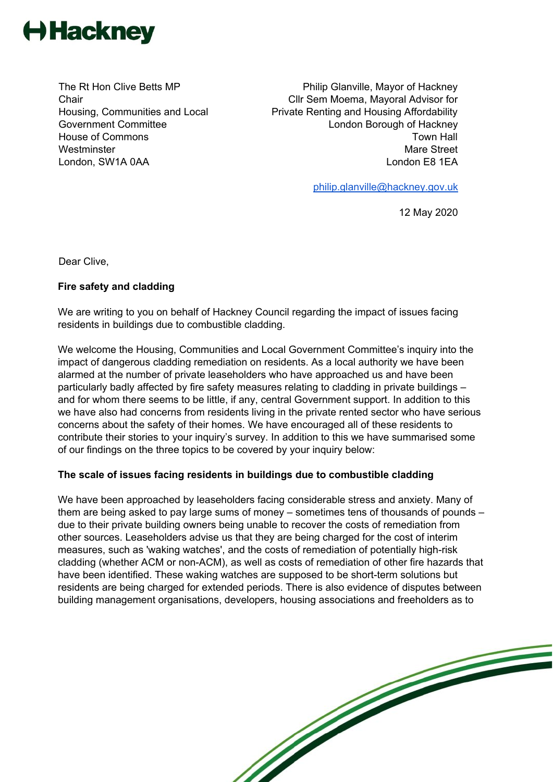

The Rt Hon Clive Betts MP **Chair** Housing, Communities and Local Government Committee House of Commons **Westminster** London, SW1A 0AA

Philip Glanville, Mayor of Hackney Cllr Sem Moema, Mayoral Advisor for Private Renting and Housing Affordability London Borough of Hackney Town Hall Mare Street London E8 1EA

[philip.glanville@hackney.gov.uk](mailto:philip.glanville@hackney.gov.uk)

12 May 2020

Dear Clive,

## **Fire safety and cladding**

We are writing to you on behalf of Hackney Council regarding the impact of issues facing residents in buildings due to combustible cladding.

We welcome the Housing, Communities and Local Government Committee's inquiry into the impact of dangerous cladding remediation on residents. As a local authority we have been alarmed at the number of private leaseholders who have approached us and have been particularly badly affected by fire safety measures relating to cladding in private buildings – and for whom there seems to be little, if any, central Government support. In addition to this we have also had concerns from residents living in the private rented sector who have serious concerns about the safety of their homes. We have encouraged all of these residents to contribute their stories to your inquiry's survey. In addition to this we have summarised some of our findings on the three topics to be covered by your inquiry below:

## **The scale of issues facing residents in buildings due to combustible cladding**

We have been approached by leaseholders facing considerable stress and anxiety. Many of them are being asked to pay large sums of money – sometimes tens of thousands of pounds – due to their private building owners being unable to recover the costs of remediation from other sources. Leaseholders advise us that they are being charged for the cost of interim measures, such as 'waking watches', and the costs of remediation of potentially high-risk cladding (whether ACM or non-ACM), as well as costs of remediation of other fire hazards that have been identified. These waking watches are supposed to be short-term solutions but residents are being charged for extended periods. There is also evidence of disputes between building management organisations, developers, housing associations and freeholders as to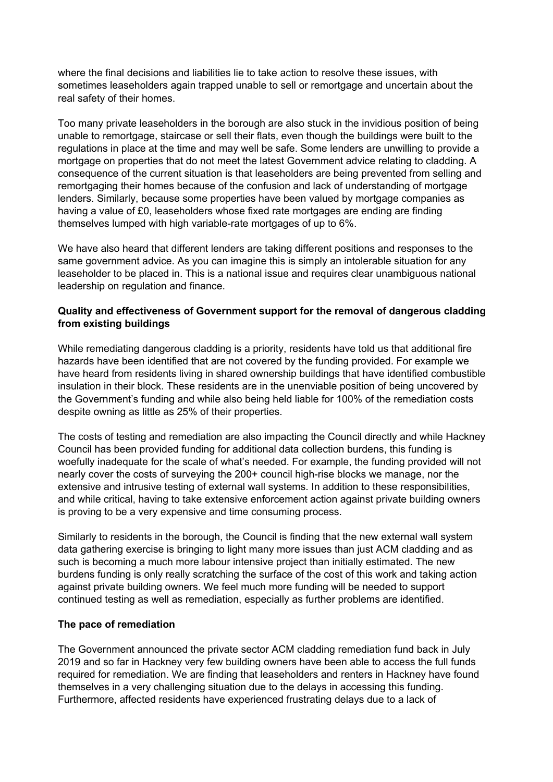where the final decisions and liabilities lie to take action to resolve these issues, with sometimes leaseholders again trapped unable to sell or remortgage and uncertain about the real safety of their homes.

Too many private leaseholders in the borough are also stuck in the invidious position of being unable to remortgage, staircase or sell their flats, even though the buildings were built to the regulations in place at the time and may well be safe. Some lenders are unwilling to provide a mortgage on properties that do not meet the latest Government advice relating to cladding. A consequence of the current situation is that leaseholders are being prevented from selling and remortgaging their homes because of the confusion and lack of understanding of mortgage lenders. Similarly, because some properties have been valued by mortgage companies as having a value of £0, leaseholders whose fixed rate mortgages are ending are finding themselves lumped with high variable-rate mortgages of up to 6%.

We have also heard that different lenders are taking different positions and responses to the same government advice. As you can imagine this is simply an intolerable situation for any leaseholder to be placed in. This is a national issue and requires clear unambiguous national leadership on regulation and finance.

## **Quality and effectiveness of Government support for the removal of dangerous cladding from existing buildings**

While remediating dangerous cladding is a priority, residents have told us that additional fire hazards have been identified that are not covered by the funding provided. For example we have heard from residents living in shared ownership buildings that have identified combustible insulation in their block. These residents are in the unenviable position of being uncovered by the Government's funding and while also being held liable for 100% of the remediation costs despite owning as little as 25% of their properties.

The costs of testing and remediation are also impacting the Council directly and while Hackney Council has been provided funding for additional data collection burdens, this funding is woefully inadequate for the scale of what's needed. For example, the funding provided will not nearly cover the costs of surveying the 200+ council high-rise blocks we manage, nor the extensive and intrusive testing of external wall systems. In addition to these responsibilities, and while critical, having to take extensive enforcement action against private building owners is proving to be a very expensive and time consuming process.

Similarly to residents in the borough, the Council is finding that the new external wall system data gathering exercise is bringing to light many more issues than just ACM cladding and as such is becoming a much more labour intensive project than initially estimated. The new burdens funding is only really scratching the surface of the cost of this work and taking action against private building owners. We feel much more funding will be needed to support continued testing as well as remediation, especially as further problems are identified.

## **The pace of remediation**

The Government announced the private sector ACM cladding remediation fund back in July 2019 and so far in Hackney very few building owners have been able to access the full funds required for remediation. We are finding that leaseholders and renters in Hackney have found themselves in a very challenging situation due to the delays in accessing this funding. Furthermore, affected residents have experienced frustrating delays due to a lack of